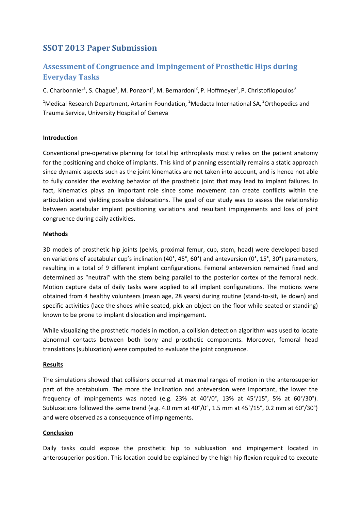# **SSOT 2013 Paper Submission**

# **Assessment of Congruence and Impingement of Prosthetic Hips during Everyday Tasks**

C. Charbonnier<sup>1</sup>, S. Chagué<sup>1</sup>, M. Ponzoni<sup>2</sup>, M. Bernardoni<sup>2</sup>, P. Hoffmeyer<sup>3</sup>, P. Christofilopoulos<sup>3</sup>

<sup>1</sup>Medical Research Department, Artanim Foundation, <sup>2</sup>Medacta International SA, <sup>3</sup>Orthopedics and Trauma Service, University Hospital of Geneva

## **Introduction**

Conventional pre-operative planning for total hip arthroplasty mostly relies on the patient anatomy for the positioning and choice of implants. This kind of planning essentially remains a static approach since dynamic aspects such as the joint kinematics are not taken into account, and is hence not able to fully consider the evolving behavior of the prosthetic joint that may lead to implant failures. In fact, kinematics plays an important role since some movement can create conflicts within the articulation and yielding possible dislocations. The goal of our study was to assess the relationship between acetabular implant positioning variations and resultant impingements and loss of joint congruence during daily activities.

### **Methods**

3D models of prosthetic hip joints (pelvis, proximal femur, cup, stem, head) were developed based on variations of acetabular cup's inclination (40°, 45°, 60°) and anteversion (0°, 15°, 30°) parameters, resulting in a total of 9 different implant configurations. Femoral anteversion remained fixed and determined as "neutral" with the stem being parallel to the posterior cortex of the femoral neck. Motion capture data of daily tasks were applied to all implant configurations. The motions were obtained from 4 healthy volunteers (mean age, 28 years) during routine (stand-to-sit, lie down) and specific activities (lace the shoes while seated, pick an object on the floor while seated or standing) known to be prone to implant dislocation and impingement.

While visualizing the prosthetic models in motion, a collision detection algorithm was used to locate abnormal contacts between both bony and prosthetic components. Moreover, femoral head translations (subluxation) were computed to evaluate the joint congruence.

#### **Results**

The simulations showed that collisions occurred at maximal ranges of motion in the anterosuperior part of the acetabulum. The more the inclination and anteversion were important, the lower the frequency of impingements was noted (e.g. 23% at 40°/0°, 13% at 45°/15°, 5% at 60°/30°). Subluxations followed the same trend (e.g. 4.0 mm at 40°/0°, 1.5 mm at 45°/15°, 0.2 mm at 60°/30°) and were observed as a consequence of impingements.

## **Conclusion**

Daily tasks could expose the prosthetic hip to subluxation and impingement located in anterosuperior position. This location could be explained by the high hip flexion required to execute